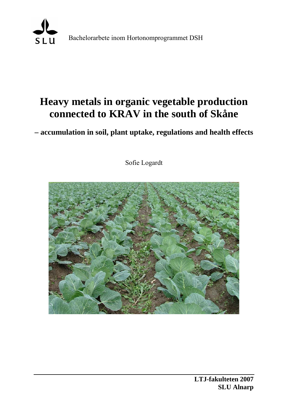

Bachelorarbete inom Hortonomprogrammet DSH

# **Heavy metals in organic vegetable production connected to KRAV in the south of Skåne**

**– accumulation in soil, plant uptake, regulations and health effects** 

Sofie Logardt

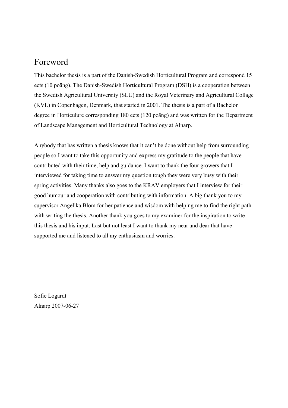## Foreword

This bachelor thesis is a part of the Danish-Swedish Horticultural Program and correspond 15 ects (10 poäng). The Danish-Swedish Horticultural Program (DSH) is a cooperation between the Swedish Agricultural University (SLU) and the Royal Veterinary and Agricultural Collage (KVL) in Copenhagen, Denmark, that started in 2001. The thesis is a part of a Bachelor degree in Horticulure corresponding 180 ects (120 poäng) and was written for the Department of Landscape Management and Horticultural Technology at Alnarp.

Anybody that has written a thesis knows that it can't be done without help from surrounding people so I want to take this opportunity and express my gratitude to the people that have contributed with their time, help and guidance. I want to thank the four growers that I interviewed for taking time to answer my question tough they were very busy with their spring activities. Many thanks also goes to the KRAV employers that I interview for their good humour and cooperation with contributing with information. A big thank you to my supervisor Angelika Blom for her patience and wisdom with helping me to find the right path with writing the thesis. Another thank you goes to my examiner for the inspiration to write this thesis and his input. Last but not least I want to thank my near and dear that have supported me and listened to all my enthusiasm and worries.

Sofie Logardt Alnarp 2007-06-27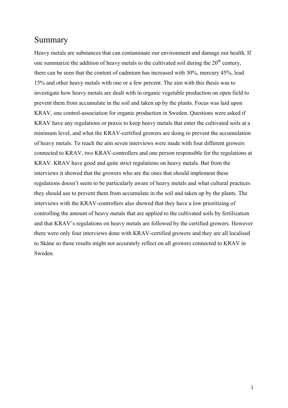## Summary

Heavy metals are substances that can contaminate our environment and damage our health. If one summarize the addition of heavy metals to the cultivated soil during the  $20<sup>th</sup>$  century. there can be seen that the content of cadmium has increased with 30%, mercury 45%, lead 15% and other heavy metals with one or a few percent. The aim with this thesis was to investigate how heavy metals are dealt with in organic vegetable production on open field to prevent them from accumulate in the soil and taken up by the plants. Focus was laid upon KRAV, one control-association for organic production in Sweden. Questions were asked if KRAV have any regulations or praxis to keep heavy metals that enter the cultivated soils at a minimum level, and what the KRAV-certified growers are doing to prevent the accumulation of heavy metals. To reach the aim seven interviews were made with four different growers connected to KRAV, two KRAV-controllers and one person responsible for the regulations at KRAV. KRAV have good and quite strict regulations on heavy metals. But from the interviews it showed that the growers who are the ones that should implement these regulations doesn't seem to be particularly aware of heavy metals and what cultural practices they should use to prevent them from accumulate in the soil and taken up by the plants. The interviews with the KRAV-controllers also showed that they have a low prioritizing of controlling the amount of heavy metals that are applied to the cultivated soils by fertilization and that KRAV's regulations on heavy metals are followed by the certified growers. However there were only four interviews done with KRAV-certified growers and they are all localised to Skåne so these results might not accurately reflect on all growers connected to KRAV in Sweden.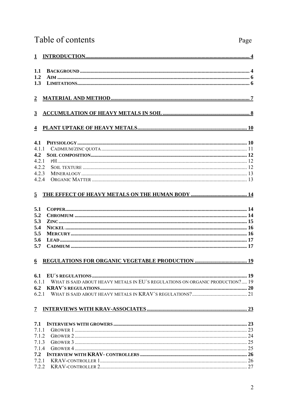## Table of contents

| 1.1              |                                                                               |  |  |  |
|------------------|-------------------------------------------------------------------------------|--|--|--|
| 1.2              |                                                                               |  |  |  |
| 1.3              |                                                                               |  |  |  |
| $\boldsymbol{2}$ |                                                                               |  |  |  |
| $3^{\circ}$      |                                                                               |  |  |  |
|                  |                                                                               |  |  |  |
| 4.1              |                                                                               |  |  |  |
| 4.1.1            |                                                                               |  |  |  |
| 4.2              |                                                                               |  |  |  |
| 4.2.1            |                                                                               |  |  |  |
| 4.2.2            |                                                                               |  |  |  |
| 4.2.3            |                                                                               |  |  |  |
| 4.2.4            |                                                                               |  |  |  |
| 5                |                                                                               |  |  |  |
| 5.1              |                                                                               |  |  |  |
| 5.2              |                                                                               |  |  |  |
| 5.3              |                                                                               |  |  |  |
| 5.4              |                                                                               |  |  |  |
| 5.5              |                                                                               |  |  |  |
| 5.6              |                                                                               |  |  |  |
| 5.7              |                                                                               |  |  |  |
| 6                |                                                                               |  |  |  |
| 6.1              |                                                                               |  |  |  |
| 6.1.1            | WHAT IS SAID ABOUT HEAVY METALS IN EU'S REGULATIONS ON ORGANIC PRODUCTION? 19 |  |  |  |
| 6.2              |                                                                               |  |  |  |
| 6.2.1            |                                                                               |  |  |  |
| 7                |                                                                               |  |  |  |
| 7.1              |                                                                               |  |  |  |
| 711              |                                                                               |  |  |  |
| 7.1.2            |                                                                               |  |  |  |
| 7.1.3            |                                                                               |  |  |  |
| 7.1.4            |                                                                               |  |  |  |
| 7.2              |                                                                               |  |  |  |
| 7.2.1            |                                                                               |  |  |  |
| 7.2.2            |                                                                               |  |  |  |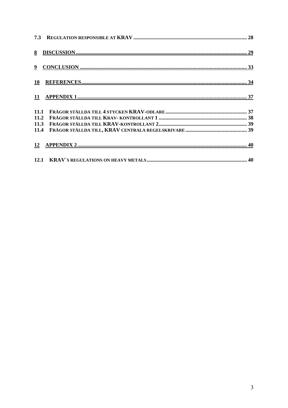| 11 |  |
|----|--|
|    |  |
|    |  |
|    |  |
|    |  |
|    |  |
|    |  |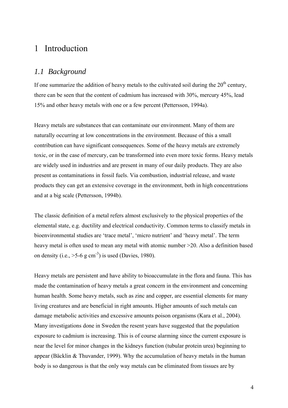## <span id="page-5-0"></span>1 Introduction

### *1.1 Background*

If one summarize the addition of heavy metals to the cultivated soil during the  $20<sup>th</sup>$  century, there can be seen that the content of cadmium has increased with 30%, mercury 45%, lead 15% and other heavy metals with one or a few percent (Pettersson, 1994a).

Heavy metals are substances that can contaminate our environment. Many of them are naturally occurring at low concentrations in the environment. Because of this a small contribution can have significant consequences. Some of the heavy metals are extremely toxic, or in the case of mercury, can be transformed into even more toxic forms. Heavy metals are widely used in industries and are present in many of our daily products. They are also present as contaminations in fossil fuels. Via combustion, industrial release, and waste products they can get an extensive coverage in the environment, both in high concentrations and at a big scale (Pettersson, 1994b).

The classic definition of a metal refers almost exclusively to the physical properties of the elemental state, e.g. ductility and electrical conductivity. Common terms to classify metals in bioenvironmental studies are 'trace metal', 'micro nutrient' and 'heavy metal'. The term heavy metal is often used to mean any metal with atomic number  $>20$ . Also a definition based on density (i.e.,  $>5-6$  g cm<sup>-3</sup>) is used (Davies, 1980).

Heavy metals are persistent and have ability to bioaccumulate in the flora and fauna. This has made the contamination of heavy metals a great concern in the environment and concerning human health. Some heavy metals, such as zinc and copper, are essential elements for many living creatures and are beneficial in right amounts. Higher amounts of such metals can damage metabolic activities and excessive amounts poison organisms (Kara et al., 2004). Many investigations done in Sweden the resent years have suggested that the population exposure to cadmium is increasing. This is of course alarming since the current exposure is near the level for minor changes in the kidneys function (tubular protein urea) beginning to appear (Bäcklin & Thuvander, 1999). Why the accumulation of heavy metals in the human body is so dangerous is that the only way metals can be eliminated from tissues are by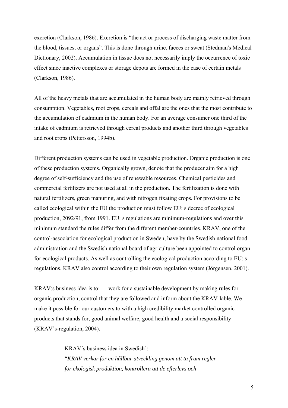excretion (Clarkson, 1986). Excretion is "the act or process of discharging waste matter from the blood, tissues, or organs". This is done through urine, faeces or sweat (Stedman's Medical Dictionary, 2002). Accumulation in tissue does not necessarily imply the occurrence of toxic effect since inactive complexes or storage depots are formed in the case of certain metals (Clarkson, 1986).

All of the heavy metals that are accumulated in the human body are mainly retrieved through consumption. Vegetables, root crops, cereals and offal are the ones that the most contribute to the accumulation of cadmium in the human body. For an average consumer one third of the intake of cadmium is retrieved through cereal products and another third through vegetables and root crops (Pettersson, 1994b).

Different production systems can be used in vegetable production. Organic production is one of these production systems. Organically grown, denote that the producer aim for a high degree of self-sufficiency and the use of renewable resources. Chemical pesticides and commercial fertilizers are not used at all in the production. The fertilization is done with natural fertilizers, green manuring, and with nitrogen fixating crops. For provisions to be called ecological within the EU the production must follow EU: s decree of ecological production, 2092/91, from 1991. EU: s regulations are minimum-regulations and over this minimum standard the rules differ from the different member-countries. KRAV, one of the control-association for ecological production in Sweden, have by the Swedish national food administration and the Swedish national board of agriculture been appointed to control organ for ecological products. As well as controlling the ecological production according to EU: s regulations, KRAV also control according to their own regulation system (Jörgensen, 2001).

KRAV:s business idea is to: … work for a sustainable development by making rules for organic production, control that they are followed and inform about the KRAV-lable. We make it possible for our customers to with a high credibility market controlled organic products that stands for, good animal welfare, good health and a social responsibility (KRAV´s-regulation, 2004).

> KRAV´s business idea in Swedish´: "*KRAV verkar för en hållbar utveckling genom att ta fram regler för ekologisk produktion, kontrollera att de efterlevs och*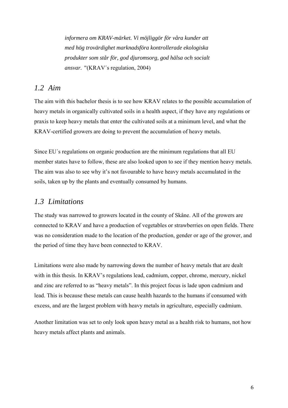<span id="page-7-0"></span>*informera om KRAV-märket. Vi möjliggör för våra kunder att med hög trovärdighet marknadsföra kontrollerade ekologiska produkter som står för, god djuromsorg, god hälsa och socialt ansvar. "*(KRAV´s regulation, 2004)

### *1.2 Aim*

The aim with this bachelor thesis is to see how KRAV relates to the possible accumulation of heavy metals in organically cultivated soils in a health aspect, if they have any regulations or praxis to keep heavy metals that enter the cultivated soils at a minimum level, and what the KRAV-certified growers are doing to prevent the accumulation of heavy metals.

Since EU´s regulations on organic production are the minimum regulations that all EU member states have to follow, these are also looked upon to see if they mention heavy metals. The aim was also to see why it's not favourable to have heavy metals accumulated in the soils, taken up by the plants and eventually consumed by humans.

### *1.3 Limitations*

The study was narrowed to growers located in the county of Skåne. All of the growers are connected to KRAV and have a production of vegetables or strawberries on open fields. There was no consideration made to the location of the production, gender or age of the grower, and the period of time they have been connected to KRAV.

Limitations were also made by narrowing down the number of heavy metals that are dealt with in this thesis. In KRAV's regulations lead, cadmium, copper, chrome, mercury, nickel and zinc are referred to as "heavy metals". In this project focus is lade upon cadmium and lead. This is because these metals can cause health hazards to the humans if consumed with excess, and are the largest problem with heavy metals in agriculture, especially cadmium.

Another limitation was set to only look upon heavy metal as a health risk to humans, not how heavy metals affect plants and animals.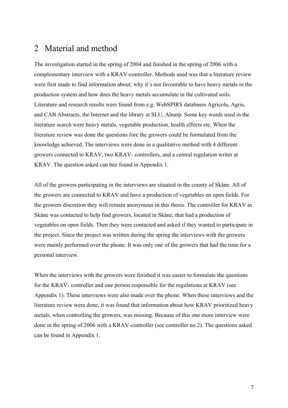## <span id="page-8-0"></span>2 Material and method

The investigation started in the spring of 2004 and finished in the spring of 2006 with a complementary interview with a KRAV-controller. Methods used was that a literature review were first made to find information about; why it's not favourable to have heavy metals in the production system and how does the heavy metals accumulate in the cultivated soils. Literature and research results were found from e.g. WebSPIRS databases Agricola, Agris, and CAB Abstracts, the Internet and the library at SLU, Alnarp. Some key words used in the literature search were heavy metals, vegetable production, health effects etc. When the literature review was done the questions fore the growers could be formulated from the knowledge achieved. The interviews were done in a qualitative method with 4 different growers connected to KRAV, two KRAV- controllers, and a central regulation writer at KRAV. The question asked can bee found in Appendix 1.

All of the growers participating in the interviews are situated in the county of Skåne. All of the growers are connected to KRAV and have a production of vegetables on open fields. For the growers discretion they will remain anonymous in this thesis. The controller for KRAV in Skåne was contacted to help find growers, located in Skåne, that had a production of vegetables on open fields. Then they were contacted and asked if they wanted to participate in the project. Since the project was written during the spring the interviews with the growers were mainly performed over the phone. It was only one of the growers that had the time for a personal interview.

When the interviews with the growers were finished it was easier to formulate the questions for the KRAV- controller and one person responsible for the regulations at KRAV (see Appendix 1). These interviews were also made over the phone. When these interviews and the literature review were done, it was found that information about how KRAV prioritized heavy metals, when controlling the growers, was missing. Because of this one more interview were done in the spring of 2006 with a KRAV-controller (see controller no.2). The questions asked can be found in Appendix 1.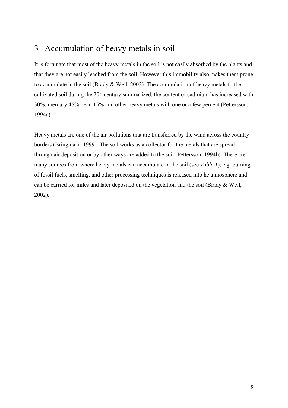## <span id="page-9-0"></span>3 Accumulation of heavy metals in soil

It is fortunate that most of the heavy metals in the soil is not easily absorbed by the plants and that they are not easily leached from the soil. However this immobility also makes them prone to accumulate in the soil (Brady & Weil, 2002). The accumulation of heavy metals to the cultivated soil during the  $20<sup>th</sup>$  century summarized, the content of cadmium has increased with 30%, mercury 45%, lead 15% and other heavy metals with one or a few percent (Pettersson, 1994a).

Heavy metals are one of the air pollutions that are transferred by the wind across the country borders (Bringmark, 1999). The soil works as a collector for the metals that are spread through air deposition or by other ways are added to the soil (Pettersson, 1994b). There are many sources from where heavy metals can accumulate in the soil (see *Table 1*), e.g. burning of fossil fuels, smelting, and other processing techniques is released into he atmosphere and can be carried for miles and later deposited on the vegetation and the soil (Brady & Weil, 2002).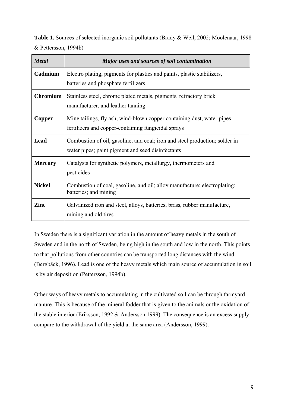**Table 1.** Sources of selected inorganic soil pollutants (Brady & Weil, 2002; Moolenaar, 1998 & Pettersson, 1994b)

| <b>Metal</b>    | Major uses and sources of soil contamination                                                                                     |
|-----------------|----------------------------------------------------------------------------------------------------------------------------------|
| Cadmium         | Electro plating, pigments for plastics and paints, plastic stabilizers,<br>batteries and phosphate fertilizers                   |
| <b>Chromium</b> | Stainless steel, chrome plated metals, pigments, refractory brick<br>manufacturer, and leather tanning                           |
| Copper          | Mine tailings, fly ash, wind-blown copper containing dust, water pipes,<br>fertilizers and copper-containing fungicidal sprays   |
| Lead            | Combustion of oil, gasoline, and coal; iron and steel production; solder in<br>water pipes; paint pigment and seed disinfectants |
| <b>Mercury</b>  | Catalysts for synthetic polymers, metallurgy, thermometers and<br>pesticides                                                     |
| <b>Nickel</b>   | Combustion of coal, gasoline, and oil; alloy manufacture; electroplating;<br>batteries; and mining                               |
| Zinc            | Galvanized iron and steel, alloys, batteries, brass, rubber manufacture,<br>mining and old tires                                 |

In Sweden there is a significant variation in the amount of heavy metals in the south of Sweden and in the north of Sweden, being high in the south and low in the north. This points to that pollutions from other countries can be transported long distances with the wind (Bergbäck, 1996). Lead is one of the heavy metals which main source of accumulation in soil is by air deposition (Pettersson, 1994b).

Other ways of heavy metals to accumulating in the cultivated soil can be through farmyard manure. This is because of the mineral fodder that is given to the animals or the oxidation of the stable interior (Eriksson, 1992 & Andersson 1999). The consequence is an excess supply compare to the withdrawal of the yield at the same area (Andersson, 1999).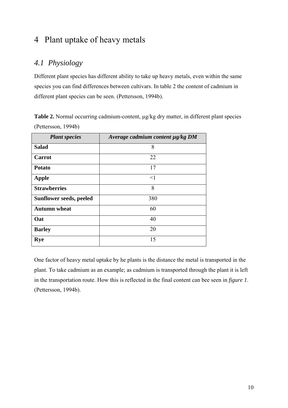## <span id="page-11-0"></span>4 Plant uptake of heavy metals

## *4.1 Physiology*

Different plant species has different ability to take up heavy metals, even within the same species you can find differences between cultivars. In table 2 the content of cadmium in different plant species can be seen. (Pettersson, 1994b).

Table 2. Normal occurring cadmium-content,  $\mu$ g/kg dry matter, in different plant species (Pettersson, 1994b)

| <b>Plant species</b>    | Average cadmium content $\mu$ g/kg DM |
|-------------------------|---------------------------------------|
| <b>Salad</b>            | 8                                     |
| <b>Carrot</b>           | 22                                    |
| <b>Potato</b>           | 17                                    |
| <b>Apple</b>            | $\leq$ 1                              |
| <b>Strawberries</b>     | 8                                     |
| Sunflower seeds, peeled | 380                                   |
| <b>Autumn</b> wheat     | 60                                    |
| Oat                     | 40                                    |
| <b>Barley</b>           | 20                                    |
| <b>Rye</b>              | 15                                    |

One factor of heavy metal uptake by he plants is the distance the metal is transported in the plant. To take cadmium as an example; as cadmium is transported through the plant it is left in the transportation route. How this is reflected in the final content can bee seen in *figure 1*. (Pettersson, 1994b).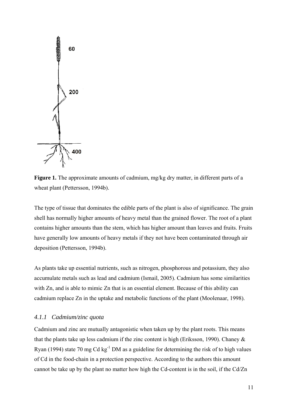<span id="page-12-0"></span>

**Figure 1.** The approximate amounts of cadmium, mg/kg dry matter, in different parts of a wheat plant (Pettersson, 1994b).

The type of tissue that dominates the edible parts of the plant is also of significance. The grain shell has normally higher amounts of heavy metal than the grained flower. The root of a plant contains higher amounts than the stem, which has higher amount than leaves and fruits. Fruits have generally low amounts of heavy metals if they not have been contaminated through air deposition (Pettersson, 1994b).

As plants take up essential nutrients, such as nitrogen, phosphorous and potassium, they also accumulate metals such as lead and cadmium (Ismail, 2005). Cadmium has some similarities with Zn, and is able to mimic Zn that is an essential element. Because of this ability can cadmium replace Zn in the uptake and metabolic functions of the plant (Moolenaar, 1998).

#### *4.1.1 Cadmium/zinc quota*

Cadmium and zinc are mutually antagonistic when taken up by the plant roots. This means that the plants take up less cadmium if the zinc content is high (Eriksson, 1990). Chaney & Ryan (1994) state 70 mg Cd  $kg^{-1}$  DM as a guideline for determining the risk of to high values of Cd in the food-chain in a protection perspective. According to the authors this amount cannot be take up by the plant no matter how high the Cd-content is in the soil, if the Cd/Zn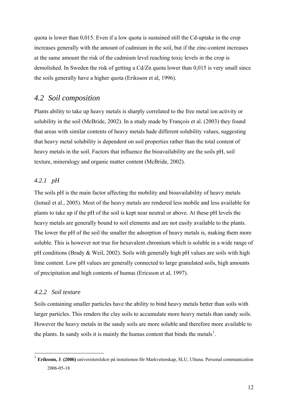<span id="page-13-0"></span>quota is lower than 0,015. Even if a low quota is sustained still the Cd-uptake in the crop increases generally with the amount of cadmium in the soil, but if the zinc-content increases at the same amount the risk of the cadmium level reaching toxic levels in the crop is demolished. In Sweden the risk of getting a Cd/Zn quota lower than 0,015 is very small since the soils generally have a higher quota (Eriksson et al, 1996).

### *4.2 Soil composition*

Plants ability to take up heavy metals is sharply correlated to the free metal ion activity or solubility in the soil (McBride, 2002). In a study made by François et al. (2003) they found that areas with similar contents of heavy metals hade different solubility values, suggesting that heavy metal solubility is dependent on soil properties rather than the total content of heavy metals in the soil. Factors that influence the bioavailability are the soils pH, soil texture, mineralogy and organic matter content (McBride, 2002).

### *4.2.1 pH*

The soils pH is the main factor affecting the mobility and bioavailability of heavy metals (Ismail et al., 2005). Most of the heavy metals are rendered less mobile and less available for plants to take up if the pH of the soil is kept near neutral or above. At these pH levels the heavy metals are generally bound to soil elements and are not easily available to the plants. The lower the pH of the soil the smaller the adsorption of heavy metals is, making them more soluble. This is however not true for hexavalent chromium which is soluble in a wide range of pH conditions (Brady  $\&$  Weil, 2002). Soils with generally high pH values are soils with high lime content. Low pH values are generally connected to large granulated soils, high amounts of precipitation and high contents of humus (Ericsson et al, 1997).

#### *4.2.2 Soil texture*

1

Soils containing smaller particles have the ability to bind heavy metals better than soils with larger particles. This renders the clay soils to accumulate more heavy metals than sandy soils. However the heavy metals in the sandy soils are more soluble and therefore more available to the plants. In sandy soils it is mainly the humus content that binds the metals<sup>[1](#page-13-1)</sup>.

<span id="page-13-1"></span><sup>1</sup> **Eriksson, J**. **(2006)** universitetslekor på instutionen för Markvetenskap, SLU, Ultuna. Personal communication 2006-05-18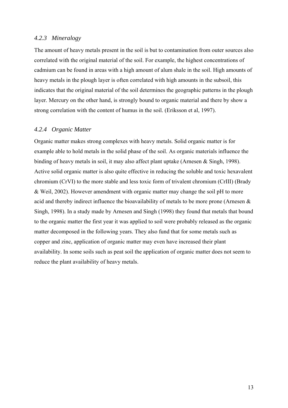#### <span id="page-14-0"></span>*4.2.3 Mineralogy*

The amount of heavy metals present in the soil is but to contamination from outer sources also correlated with the original material of the soil. For example, the highest concentrations of cadmium can be found in areas with a high amount of alum shale in the soil. High amounts of heavy metals in the plough layer is often correlated with high amounts in the subsoil, this indicates that the original material of the soil determines the geographic patterns in the plough layer. Mercury on the other hand, is strongly bound to organic material and there by show a strong correlation with the content of humus in the soil. (Eriksson et al, 1997).

#### *4.2.4 Organic Matter*

Organic matter makes strong complexes with heavy metals. Solid organic matter is for example able to hold metals in the solid phase of the soil. As organic materials influence the binding of heavy metals in soil, it may also affect plant uptake (Arnesen & Singh, 1998). Active solid organic matter is also quite effective in reducing the soluble and toxic hexavalent chromium (CrVI) to the more stable and less toxic form of trivalent chromium (CrIII) (Brady & Weil, 2002). However amendment with organic matter may change the soil pH to more acid and thereby indirect influence the bioavailability of metals to be more prone (Arnesen & Singh, 1998). In a study made by Arnesen and Singh (1998) they found that metals that bound to the organic matter the first year it was applied to soil were probably released as the organic matter decomposed in the following years. They also fund that for some metals such as copper and zinc, application of organic matter may even have increased their plant availability. In some soils such as peat soil the application of organic matter does not seem to reduce the plant availability of heavy metals.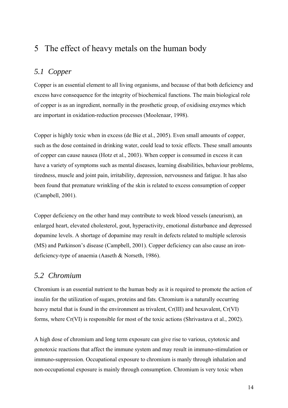## <span id="page-15-0"></span>5 The effect of heavy metals on the human body

## *5.1 Copper*

Copper is an essential element to all living organisms, and because of that both deficiency and excess have consequence for the integrity of biochemical functions. The main biological role of copper is as an ingredient, normally in the prosthetic group, of oxidising enzymes which are important in oxidation-reduction processes (Moolenaar, 1998).

Copper is highly toxic when in excess (de Bie et al., 2005). Even small amounts of copper, such as the dose contained in drinking water, could lead to toxic effects. These small amounts of copper can cause nausea (Hotz et al., 2003). When copper is consumed in excess it can have a variety of symptoms such as mental diseases, learning disabilities, behaviour problems, tiredness, muscle and joint pain, irritability, depression, nervousness and fatigue. It has also been found that premature wrinkling of the skin is related to excess consumption of copper (Campbell, 2001).

Copper deficiency on the other hand may contribute to week blood vessels (aneurism), an enlarged heart, elevated cholesterol, gout, hyperactivity, emotional disturbance and depressed dopamine levels. A shortage of dopamine may result in defects related to multiple sclerosis (MS) and Parkinson's disease (Campbell, 2001). Copper deficiency can also cause an irondeficiency-type of anaemia (Aaseth & Norseth, 1986).

## *5.2 Chromium*

Chromium is an essential nutrient to the human body as it is required to promote the action of insulin for the utilization of sugars, proteins and fats. Chromium is a naturally occurring heavy metal that is found in the environment as trivalent, Cr(III) and hexavalent, Cr(VI) forms, where Cr(VI) is responsible for most of the toxic actions (Shrivastava et al., 2002).

A high dose of chromium and long term exposure can give rise to various, cytotoxic and genotoxic reactions that affect the immune system and may result in immuno-stimulation or immuno-suppression. Occupational exposure to chromium is manly through inhalation and non-occupational exposure is mainly through consumption. Chromium is very toxic when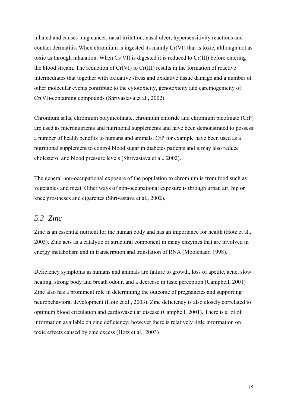<span id="page-16-0"></span>inhaled and causes lung cancer, nasal irritation, nasal ulcer, hypersensitivity reactions and contact dermatitis. When chromium is ingested its mainly Cr(VI) that is toxic, although not as toxic as through inhalation. When Cr(VI) is digested it is reduced to Cr(III) before entering the blood stream. The reduction of Cr(VI) to Cr(III) results in the formation of reactive intermediates that together with oxidative stress and oxidative tissue damage and a number of other molecular events contribute to the cytotoxicity, genotoxicity and carcinogenicity of Cr(VI)-containing compounds (Shrivastava et al., 2002).

Chromium salts, chromium polynicotinate, chromium chloride and chromium picolinate (CrP) are used as micronutrients and nutritional supplements and have been demonstrated to possess a number of health benefits to humans and animals. CrP for example have been used as a nutritional supplement to control blood sugar in diabetes patients and it may also reduce cholesterol and blood pressure levels (Shrivastava et al., 2002).

The general non-occupational exposure of the population to chromium is from food such as vegetables and meat. Other ways of non-occupational exposure is through urban air, hip or knee prostheses and cigarettes (Shrivastava et al., 2002).

### *5.3 Zinc*

Zinc is an essential nutrient for the human body and has an importance for health (Hotz et al., 2003). Zinc acts as a catalytic or structural component in many enzymes that are involved in energy metabolism and in transcription and translation of RNA (Moolenaar, 1998).

Deficiency symptoms in humans and animals are failure to growth, loss of apetite, acne, slow healing, strong body and breath odour, and a decrease in taste perception (Campbell, 2001) Zinc also has a prominent role in determining the outcome of pregnancies and supporting neurobehavioral development (Hotz et al., 2003). Zinc deficiency is also closely correlated to optimum blood circulation and cardiovascular disease (Campbell, 2001). There is a lot of information available on zinc deficiency; however there is relatively little information on toxic effects caused by zinc excess (Hotz et al., 2003)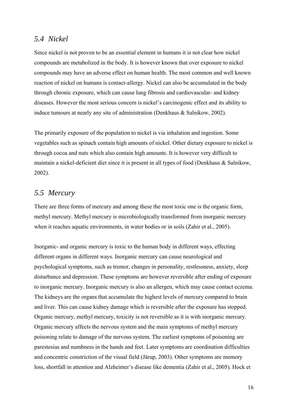### <span id="page-17-0"></span>*5.4 Nickel*

Since nickel is not proven to be an essential element in humans it is not clear how nickel compounds are metabolized in the body. It is however known that over exposure to nickel compounds may have an adverse effect on human health. The most common and well known reaction of nickel on humans is contact-allergy. Nickel can also be accumulated in the body through chronic exposure, which can cause lung fibrosis and cardiovascular- and kidney diseases. However the most serious concern is nickel's carcinogenic effect and its ability to induce tumours at nearly any site of administration (Denkhaus & Salnikow, 2002).

The primarily exposure of the population to nickel is via inhalation and ingestion. Some vegetables such as spinach contain high amounts of nickel. Other dietary exposure to nickel is through cocoa and nuts which also contain high amounts. It is however very difficult to maintain a nickel-deficient diet since it is present in all types of food (Denkhaus & Salnikow, 2002).

## *5.5 Mercury*

There are three forms of mercury and among these the most toxic one is the organic form, methyl mercury. Methyl mercury is microbiologically transformed from inorganic mercury when it reaches aquatic environments, in water bodies or in soils (Zahir et al., 2005).

Inorganic- and organic mercury is toxic to the human body in different ways, effecting different organs in different ways. Inorganic mercury can cause neurological and psychological symptoms, such as tremor, changes in personality, restlessness, anxiety, sleep disturbance and depression. These symptoms are however reversible after ending of exposure to inorganic mercury. Inorganic mercury is also an allergen, which may cause contact eczema. The kidneys are the organs that accumulate the highest levels of mercury compared to brain and liver. This can cause kidney damage which is reversible after the exposure has stopped. Organic mercury, methyl mercury, toxicity is not reversible as it is with inorganic mercury. Organic mercury affects the nervous system and the main symptoms of methyl mercury poisoning relate to damage of the nervous system. The earliest symptoms of poisoning are parestesias and numbness in the hands and feet. Later symptoms are coordination difficulties and concentric constriction of the visual field (Järup, 2003). Other symptoms are memory loss, shortfall in attention and Alzheimer's disease like dementia (Zahir et al., 2005). Hock et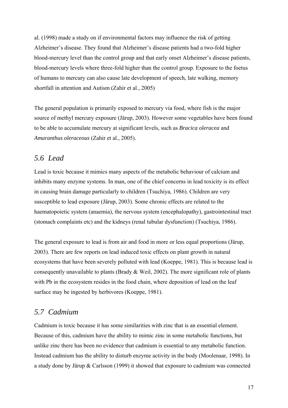<span id="page-18-0"></span>al. (1998) made a study on if environmental factors may influence the risk of getting Alzheimer's disease. They found that Alzheimer's disease patients had a two-fold higher blood-mercury level than the control group and that early onset Alzheimer's disease patients, blood-mercury levels where three-fold higher than the control group. Exposure to the foetus of humans to mercury can also cause late development of speech, late walking, memory shortfall in attention and Autism (Zahir et al., 2005)

The general population is primarily exposed to mercury via food, where fish is the major source of methyl mercury exposure (Järup, 2003). However some vegetables have been found to be able to accumulate mercury at significant levels, such as *Bracica oleracea* and *Amaranthus oleraceous* (Zahir et al., 2005).

### *5.6 Lead*

Lead is toxic because it mimics many aspects of the metabolic behaviour of calcium and inhibits many enzyme systems. In man, one of the chief concerns in lead toxicity is its effect in causing brain damage particularly to children (Tsuchiya, 1986). Children are very susceptible to lead exposure (Järup, 2003). Some chronic effects are related to the haematopoietic system (anaemia), the nervous system (encephalopathy), gastrointestinal tract (stomach complaints etc) and the kidneys (renal tubular dysfunction) (Tsuchiya, 1986).

The general exposure to lead is from air and food in more or less equal proportions (Järup, 2003). There are few reports on lead induced toxic effects on plant growth in natural ecosystems that have been severely polluted with lead (Koeppe, 1981). This is because lead is consequently unavailable to plants (Brady & Weil, 2002). The more significant role of plants with Pb in the ecosystem resides in the food chain, where deposition of lead on the leaf surface may be ingested by herbivores (Koeppe, 1981).

## *5.7 Cadmium*

Cadmium is toxic because it has some similarities with zinc that is an essential element. Because of this, cadmium have the ability to mimic zinc in some metabolic functions, but unlike zinc there has been no evidence that cadmium is essential to any metabolic function. Instead cadmium has the ability to disturb enzyme activity in the body (Moolenaar, 1998). In a study done by Järup & Carlsson (1999) it showed that exposure to cadmium was connected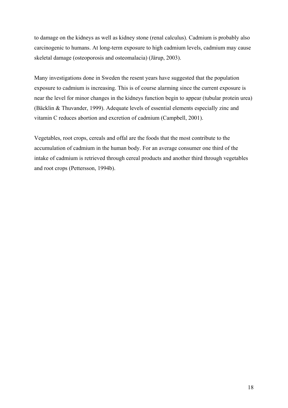to damage on the kidneys as well as kidney stone (renal calculus). Cadmium is probably also carcinogenic to humans. At long-term exposure to high cadmium levels, cadmium may cause skeletal damage (osteoporosis and osteomalacia) (Järup, 2003).

Many investigations done in Sweden the resent years have suggested that the population exposure to cadmium is increasing. This is of course alarming since the current exposure is near the level for minor changes in the kidneys function begin to appear (tubular protein urea) (Bäcklin & Thuvander, 1999). Adequate levels of essential elements especially zinc and vitamin C reduces abortion and excretion of cadmium (Campbell, 2001).

Vegetables, root crops, cereals and offal are the foods that the most contribute to the accumulation of cadmium in the human body. For an average consumer one third of the intake of cadmium is retrieved through cereal products and another third through vegetables and root crops (Pettersson, 1994b).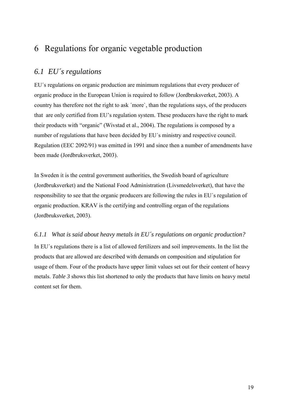## <span id="page-20-0"></span>6 Regulations for organic vegetable production

## *6.1 EU´s regulations*

EU´s regulations on organic production are minimum regulations that every producer of organic produce in the European Union is required to follow (Jordbruksverket, 2003). A country has therefore not the right to ask ´more`, than the regulations says, of the producers that are only certified from EU's regulation system. These producers have the right to mark their products with "organic" (Wivstad et al., 2004). The regulations is composed by a number of regulations that have been decided by EU´s ministry and respective council. Regulation (EEC 2092/91) was emitted in 1991 and since then a number of amendments have been made (Jordbruksverket, 2003).

In Sweden it is the central government authorities, the Swedish board of agriculture (Jordbruksverket) and the National Food Administration (Livsmedelsverket), that have the responsibility to see that the organic producers are following the rules in EU´s regulation of organic production. KRAV is the certifying and controlling organ of the regulations (Jordbruksverket, 2003).

### *6.1.1 What is said about heavy metals in EU´s regulations on organic production?*

In EU´s regulations there is a list of allowed fertilizers and soil improvements. In the list the products that are allowed are described with demands on composition and stipulation for usage of them. Four of the products have upper limit values set out for their content of heavy metals. *Table 3* shows this list shortened to only the products that have limits on heavy metal content set for them.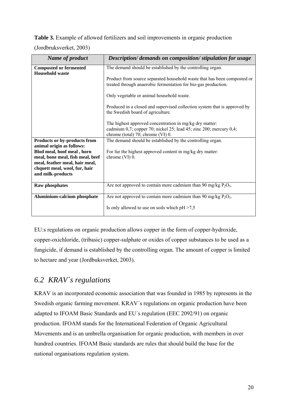### <span id="page-21-0"></span>**Table 3.** Example of allowed fertilizers and soil improvements in organic production

(Jordbruksverket, 2003)

| Name of product                                                                                                          | Description/ demands on composition/ stipulation for usage                                                                                                                                                                                                                                                                                                                                                                                                                                                     |  |
|--------------------------------------------------------------------------------------------------------------------------|----------------------------------------------------------------------------------------------------------------------------------------------------------------------------------------------------------------------------------------------------------------------------------------------------------------------------------------------------------------------------------------------------------------------------------------------------------------------------------------------------------------|--|
| <b>Composted or fermented</b><br><b>Household waste</b>                                                                  | The demand should be established by the controlling organ.<br>Product from source separated household waste that has been composted or<br>treated through anaerobic fermentation for bio-gas production.<br>Only vegetable or animal household waste.<br>Produced in a closed and supervised collection system that is approved by<br>the Swedish board of agriculture.<br>The highest approved concentration in mg/kg dry matter:<br>cadmium $0,7$ ; copper 70; nickel 25; lead 45; zinc 200; mercury $0,4$ ; |  |
|                                                                                                                          | chrome (total) 70; chrome (VI) 0.                                                                                                                                                                                                                                                                                                                                                                                                                                                                              |  |
| Products or by-products from<br>animal origin as follows:<br>Blod meal, hoof meal, horn                                  | The demand should be established by the controlling organ.<br>For fur the highest approved content in mg/kg dry matter:                                                                                                                                                                                                                                                                                                                                                                                        |  |
| meal, bone meal, fish meal, beef<br>meal, feather meal, hair meal,<br>chquett meal, wool, fur, hair<br>and milk-products | chrome (VI) 0.                                                                                                                                                                                                                                                                                                                                                                                                                                                                                                 |  |
| <b>Raw phosphates</b>                                                                                                    | Are not approved to contain more cadmium than 90 mg/kg $P_2O_5$ .                                                                                                                                                                                                                                                                                                                                                                                                                                              |  |
| Aluminium-calcium phosphate                                                                                              | Are not approved to contain more cadmium than 90 mg/kg $P_2O_5$ .<br>Is only allowed to use on soils which $pH > 7.5$                                                                                                                                                                                                                                                                                                                                                                                          |  |

EU:s regulations on organic production allows copper in the form of copper-hydroxide, copper-oxichloride, (tribasic) copper-sulphate or oxides of copper substances to be used as a fungicide, if demand is established by the controlling organ. The amount of copper is limited to hectare and year (Jordbuksverket, 2003).

## *6.2 KRAV´s regulations*

KRAV is an incorporated economic association that was founded in 1985 by represents in the Swedish organic farming movement. KRAV´s regulations on organic production have been adapted to IFOAM Basic Standards and EU´s regulation (EEC 2092/91) on organic production. IFOAM stands for the International Federation of Organic Agricultural Movements and is an umbrella organisation for organic production, with members in over hundred countries. IFOAM Basic standards are rules that should build the base for the national organisations regulation system.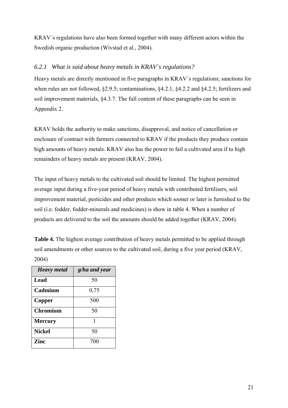<span id="page-22-0"></span>KRAV´s regulations have also been formed together with many different actors within the Swedish organic production (Wivstad et al., 2004).

### *6.2.1 What is said about heavy metals in KRAV´s regulations?*

Heavy metals are directly mentioned in five paragraphs in KRAV´s regulations; sanctions for when rules are not followed, §2.9.5; contaminations, §4.2.1, §4.2.2 and §4.2.5; fertilizers and soil improvement materials, §4.3.7. The full content of these paragraphs can be seen in Appendix 2.

KRAV holds the authority to make sanctions, disapproval, and notice of cancellation or enclosure of contract with farmers connected to KRAV if the products they produce contain high amounts of heavy metals. KRAV also has the power to fail a cultivated area if to high remainders of heavy metals are present (KRAV, 2004).

The input of heavy metals to the cultivated soil should be limited. The highest permitted average input during a five-year period of heavy metals with contributed fertilisers, soil improvement material, pesticides and other products which sooner or later is furnished to the soil (i.e. fodder, fodder-minerals and medicines) is show in table 4. When a number of products are delivered to the soil the amounts should be added together (KRAV, 2004).

**Table 4.** The highest average contribution of heavy metals permitted to be applied through soil amendments or other sources to the cultivated soil, during a five year period (KRAV, 2004)

| <b>Heavy</b> metal | g/ha and year |
|--------------------|---------------|
| Lead               | 50            |
| Cadmium            | 0,75          |
| Copper             | 500           |
| <b>Chromium</b>    | 50            |
| <b>Mercury</b>     |               |
| <b>Nickel</b>      | 50            |
| Zinc               | 700           |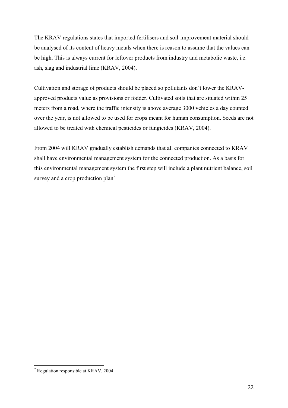The KRAV regulations states that imported fertilisers and soil-improvement material should be analysed of its content of heavy metals when there is reason to assume that the values can be high. This is always current for leftover products from industry and metabolic waste, i.e. ash, slag and industrial lime (KRAV, 2004).

Cultivation and storage of products should be placed so pollutants don't lower the KRAVapproved products value as provisions or fodder. Cultivated soils that are situated within 25 meters from a road, where the traffic intensity is above average 3000 vehicles a day counted over the year, is not allowed to be used for crops meant for human consumption. Seeds are not allowed to be treated with chemical pesticides or fungicides (KRAV, 2004).

From 2004 will KRAV gradually establish demands that all companies connected to KRAV shall have environmental management system for the connected production. As a basis for this environmental management system the first step will include a plant nutrient balance, soil survey and a crop production  $plan<sup>2</sup>$  $plan<sup>2</sup>$  $plan<sup>2</sup>$ 

<span id="page-23-0"></span> 2 Regulation responsible at KRAV, 2004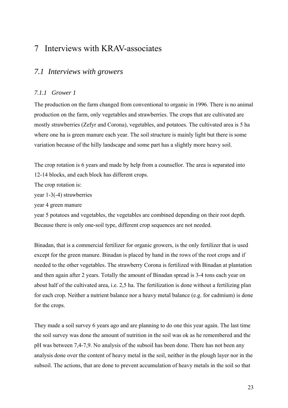## <span id="page-24-0"></span>7 Interviews with KRAV-associates

### *7.1 Interviews with growers*

#### *7.1.1 Grower 1*

The production on the farm changed from conventional to organic in 1996. There is no animal production on the farm, only vegetables and strawberries. The crops that are cultivated are mostly strawberries (Zefyr and Corona), vegetables, and potatoes. The cultivated area is 5 ha where one ha is green manure each year. The soil structure is mainly light but there is some variation because of the hilly landscape and some part has a slightly more heavy soil.

The crop rotation is 6 years and made by help from a counsellor. The area is separated into 12-14 blocks, and each block has different crops.

The crop rotation is:

year 1-3(-4) strawberries

year 4 green manure

year 5 potatoes and vegetables, the vegetables are combined depending on their root depth. Because there is only one-soil type, different crop sequences are not needed.

Binadan, that is a commercial fertilizer for organic growers, is the only fertilizer that is used except for the green manure. Binadan is placed by hand in the rows of the root crops and if needed to the other vegetables. The strawberry Corona is fertilized with Binadan at plantation and then again after 2 years. Totally the amount of Binadan spread is 3-4 tons each year on about half of the cultivated area, i.e. 2,5 ha. The fertilization is done without a fertilizing plan for each crop. Neither a nutrient balance nor a heavy metal balance (e.g. for cadmium) is done for the crops.

They made a soil survey 6 years ago and are planning to do one this year again. The last time the soil survey was done the amount of nutrition in the soil was ok as he remembered and the pH was between 7,4-7,9. No analysis of the subsoil has been done. There has not been any analysis done over the content of heavy metal in the soil, neither in the plough layer nor in the subsoil. The actions, that are done to prevent accumulation of heavy metals in the soil so that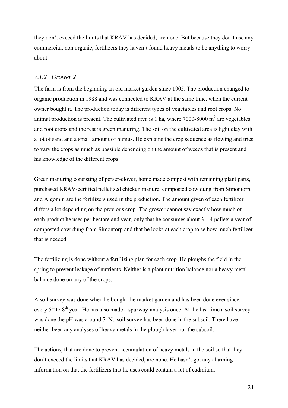<span id="page-25-0"></span>they don't exceed the limits that KRAV has decided, are none. But because they don't use any commercial, non organic, fertilizers they haven't found heavy metals to be anything to worry about.

### *7.1.2 Grower 2*

The farm is from the beginning an old market garden since 1905. The production changed to organic production in 1988 and was connected to KRAV at the same time, when the current owner bought it. The production today is different types of vegetables and root crops. No animal production is present. The cultivated area is 1 ha, where  $7000$ -8000 m<sup>2</sup> are vegetables and root crops and the rest is green manuring. The soil on the cultivated area is light clay with a lot of sand and a small amount of humus. He explains the crop sequence as flowing and tries to vary the crops as much as possible depending on the amount of weeds that is present and his knowledge of the different crops.

Green manuring consisting of perser-clover, home made compost with remaining plant parts, purchased KRAV-certified pelletized chicken manure, composted cow dung from Simontorp, and Algomin are the fertilizers used in the production. The amount given of each fertilizer differs a lot depending on the previous crop. The grower cannot say exactly how much of each product he uses per hectare and year, only that he consumes about  $3 - 4$  pallets a year of composted cow-dung from Simontorp and that he looks at each crop to se how much fertilizer that is needed.

The fertilizing is done without a fertilizing plan for each crop. He ploughs the field in the spring to prevent leakage of nutrients. Neither is a plant nutrition balance nor a heavy metal balance done on any of the crops.

A soil survey was done when he bought the market garden and has been done ever since, every  $5<sup>th</sup>$  to  $8<sup>th</sup>$  year. He has also made a spurway-analysis once. At the last time a soil survey was done the pH was around 7. No soil survey has been done in the subsoil. There have neither been any analyses of heavy metals in the plough layer nor the subsoil.

The actions, that are done to prevent accumulation of heavy metals in the soil so that they don't exceed the limits that KRAV has decided, are none. He hasn't got any alarming information on that the fertilizers that he uses could contain a lot of cadmium.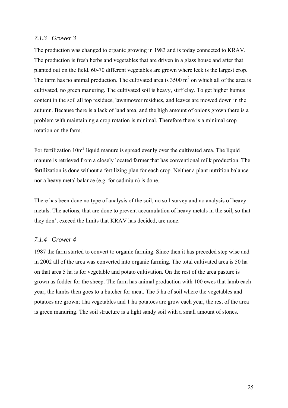#### <span id="page-26-0"></span>*7.1.3 Grower 3*

The production was changed to organic growing in 1983 and is today connected to KRAV. The production is fresh herbs and vegetables that are driven in a glass house and after that planted out on the field. 60-70 different vegetables are grown where leek is the largest crop. The farm has no animal production. The cultivated area is  $3500 \text{ m}^2$  on which all of the area is cultivated, no green manuring. The cultivated soil is heavy, stiff clay. To get higher humus content in the soil all top residues, lawnmower residues, and leaves are mowed down in the autumn. Because there is a lack of land area, and the high amount of onions grown there is a problem with maintaining a crop rotation is minimal. Therefore there is a minimal crop rotation on the farm.

For fertilization 10m<sup>3</sup> liquid manure is spread evenly over the cultivated area. The liquid manure is retrieved from a closely located farmer that has conventional milk production. The fertilization is done without a fertilizing plan for each crop. Neither a plant nutrition balance nor a heavy metal balance (e.g. for cadmium) is done.

There has been done no type of analysis of the soil, no soil survey and no analysis of heavy metals. The actions, that are done to prevent accumulation of heavy metals in the soil, so that they don't exceed the limits that KRAV has decided, are none.

#### *7.1.4 Grower 4*

1987 the farm started to convert to organic farming. Since then it has preceded step wise and in 2002 all of the area was converted into organic farming. The total cultivated area is 50 ha on that area 5 ha is for vegetable and potato cultivation. On the rest of the area pasture is grown as fodder for the sheep. The farm has animal production with 100 ewes that lamb each year, the lambs then goes to a butcher for meat. The 5 ha of soil where the vegetables and potatoes are grown; 1ha vegetables and 1 ha potatoes are grow each year, the rest of the area is green manuring. The soil structure is a light sandy soil with a small amount of stones.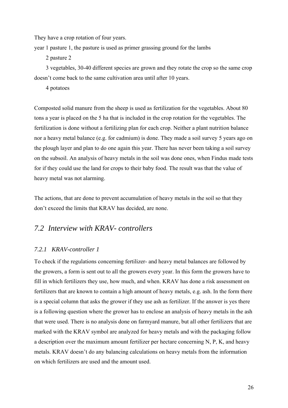<span id="page-27-0"></span>They have a crop rotation of four years.

year 1 pasture 1, the pasture is used as primer grassing ground for the lambs

2 pasture 2

 3 vegetables, 30-40 different species are grown and they rotate the crop so the same crop doesn't come back to the same cultivation area until after 10 years.

4 potatoes

Composted solid manure from the sheep is used as fertilization for the vegetables. About 80 tons a year is placed on the 5 ha that is included in the crop rotation for the vegetables. The fertilization is done without a fertilizing plan for each crop. Neither a plant nutrition balance nor a heavy metal balance (e.g. for cadmium) is done. They made a soil survey 5 years ago on the plough layer and plan to do one again this year. There has never been taking a soil survey on the subsoil. An analysis of heavy metals in the soil was done ones, when Findus made tests for if they could use the land for crops to their baby food. The result was that the value of heavy metal was not alarming.

The actions, that are done to prevent accumulation of heavy metals in the soil so that they don't exceed the limits that KRAV has decided, are none.

### *7.2 Interview with KRAV- controllers*

#### *7.2.1 KRAV-controller 1*

To check if the regulations concerning fertilizer- and heavy metal balances are followed by the growers, a form is sent out to all the growers every year. In this form the growers have to fill in which fertilizers they use, how much, and when. KRAV has done a risk assessment on fertilizers that are known to contain a high amount of heavy metals, e.g. ash. In the form there is a special column that asks the grower if they use ash as fertilizer. If the answer is yes there is a following question where the grower has to enclose an analysis of heavy metals in the ash that were used. There is no analysis done on farmyard manure, but all other fertilizers that are marked with the KRAV symbol are analyzed for heavy metals and with the packaging follow a description over the maximum amount fertilizer per hectare concerning N, P, K, and heavy metals. KRAV doesn't do any balancing calculations on heavy metals from the information on which fertilizers are used and the amount used.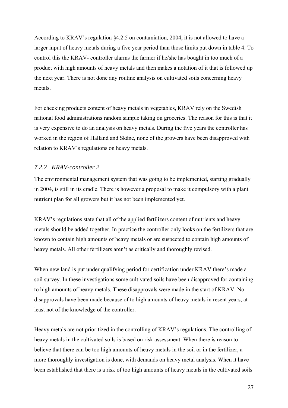<span id="page-28-0"></span>According to KRAV´s regulation §4.2.5 on contamiation, 2004, it is not allowed to have a larger input of heavy metals during a five year period than those limits put down in table 4. To control this the KRAV- controller alarms the farmer if he/she has bought in too much of a product with high amounts of heavy metals and then makes a notation of it that is followed up the next year. There is not done any routine analysis on cultivated soils concerning heavy metals.

For checking products content of heavy metals in vegetables, KRAV rely on the Swedish national food administrations random sample taking on groceries. The reason for this is that it is very expensive to do an analysis on heavy metals. During the five years the controller has worked in the region of Halland and Skåne, none of the growers have been disapproved with relation to KRAV´s regulations on heavy metals.

### *7.2.2 KRAV-controller 2*

The environmental management system that was going to be implemented, starting gradually in 2004, is still in its cradle. There is however a proposal to make it compulsory with a plant nutrient plan for all growers but it has not been implemented yet.

KRAV's regulations state that all of the applied fertilizers content of nutrients and heavy metals should be added together. In practice the controller only looks on the fertilizers that are known to contain high amounts of heavy metals or are suspected to contain high amounts of heavy metals. All other fertilizers aren't as critically and thoroughly revised.

When new land is put under qualifying period for certification under KRAV there's made a soil survey. In these investigations some cultivated soils have been disapproved for containing to high amounts of heavy metals. These disapprovals were made in the start of KRAV. No disapprovals have been made because of to high amounts of heavy metals in resent years, at least not of the knowledge of the controller.

Heavy metals are not prioritized in the controlling of KRAV's regulations. The controlling of heavy metals in the cultivated soils is based on risk assessment. When there is reason to believe that there can be too high amounts of heavy metals in the soil or in the fertilizer, a more thoroughly investigation is done, with demands on heavy metal analysis. When it have been established that there is a risk of too high amounts of heavy metals in the cultivated soils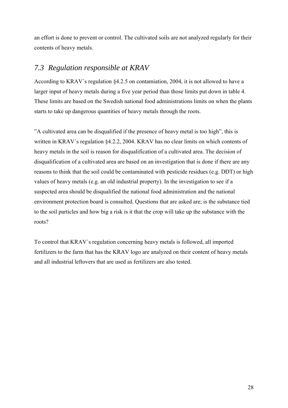<span id="page-29-0"></span>an effort is done to prevent or control. The cultivated soils are not analyzed regularly for their contents of heavy metals.

### *7.3 Regulation responsible at KRAV*

According to KRAV´s regulation §4.2.5 on contamiation, 2004, it is not allowed to have a larger input of heavy metals during a five year period than those limits put down in table 4. These limits are based on the Swedish national food administrations limits on when the plants starts to take up dangerous quantities of heavy metals through the roots.

"A cultivated area can be disqualified if the presence of heavy metal is too high", this is written in KRAV's regulation §4.2.2, 2004. KRAV has no clear limits on which contents of heavy metals in the soil is reason for disqualification of a cultivated area. The decision of disqualification of a cultivated area are based on an investigation that is done if there are any reasons to think that the soil could be contaminated with pesticide residues (e.g. DDT) or high values of heavy metals (e.g. an old industrial property). In the investigation to see if a suspected area should be disqualified the national food administration and the national environment protection board is consulted. Questions that are asked are; is the substance tied to the soil particles and how big a risk is it that the crop will take up the substance with the roots?

To control that KRAV´s regulation concerning heavy metals is followed, all imported fertilizers to the farm that has the KRAV logo are analyzed on their content of heavy metals and all industrial leftovers that are used as fertilizers are also tested.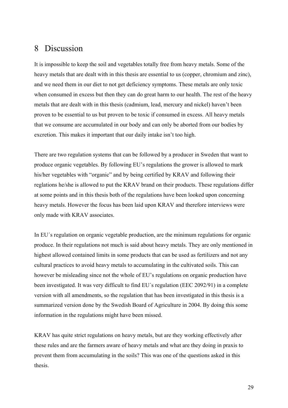## <span id="page-30-0"></span>8 Discussion

It is impossible to keep the soil and vegetables totally free from heavy metals. Some of the heavy metals that are dealt with in this thesis are essential to us (copper, chromium and zinc), and we need them in our diet to not get deficiency symptoms. These metals are only toxic when consumed in excess but then they can do great harm to our health. The rest of the heavy metals that are dealt with in this thesis (cadmium, lead, mercury and nickel) haven't been proven to be essential to us but proven to be toxic if consumed in excess. All heavy metals that we consume are accumulated in our body and can only be aborted from our bodies by excretion. This makes it important that our daily intake isn't too high.

There are two regulation systems that can be followed by a producer in Sweden that want to produce organic vegetables. By following EU's regulations the grower is allowed to mark his/her vegetables with "organic" and by being certified by KRAV and following their reglations he/she is allowed to put the KRAV brand on their products. These regulations differ at some points and in this thesis both of the regulations have been looked upon concerning heavy metals. However the focus has been laid upon KRAV and therefore interviews were only made with KRAV associates.

In EU´s regulation on organic vegetable production, are the minimum regulations for organic produce. In their regulations not much is said about heavy metals. They are only mentioned in highest allowed contained limits in some products that can be used as fertilizers and not any cultural practices to avoid heavy metals to accumulating in the cultivated soils. This can however be misleading since not the whole of EU's regulations on organic production have been investigated. It was very difficult to find EU´s regulation (EEC 2092/91) in a complete version with all amendments, so the regulation that has been investigated in this thesis is a summarized version done by the Swedish Board of Agriculture in 2004. By doing this some information in the regulations might have been missed.

KRAV has quite strict regulations on heavy metals, but are they working effectively after these rules and are the farmers aware of heavy metals and what are they doing in praxis to prevent them from accumulating in the soils? This was one of the questions asked in this thesis.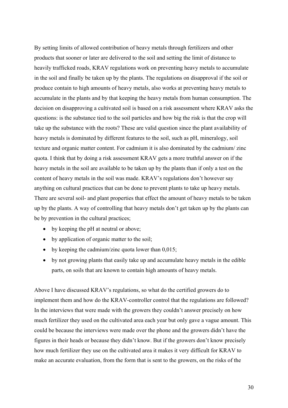By setting limits of allowed contribution of heavy metals through fertilizers and other products that sooner or later are delivered to the soil and setting the limit of distance to heavily trafficked roads, KRAV regulations work on preventing heavy metals to accumulate in the soil and finally be taken up by the plants. The regulations on disapproval if the soil or produce contain to high amounts of heavy metals, also works at preventing heavy metals to accumulate in the plants and by that keeping the heavy metals from human consumption. The decision on disapproving a cultivated soil is based on a risk assessment where KRAV asks the questions: is the substance tied to the soil particles and how big the risk is that the crop will take up the substance with the roots? These are valid question since the plant availability of heavy metals is dominated by different features to the soil, such as pH, mineralogy, soil texture and organic matter content. For cadmium it is also dominated by the cadmium/ zinc quota. I think that by doing a risk assessment KRAV gets a more truthful answer on if the heavy metals in the soil are available to be taken up by the plants than if only a test on the content of heavy metals in the soil was made. KRAV's regulations don't however say anything on cultural practices that can be done to prevent plants to take up heavy metals. There are several soil- and plant properties that effect the amount of heavy metals to be taken up by the plants. A way of controlling that heavy metals don't get taken up by the plants can be by prevention in the cultural practices;

- by keeping the pH at neutral or above;
- by application of organic matter to the soil;
- by keeping the cadmium/zinc quota lower than  $0.015$ ;
- by not growing plants that easily take up and accumulate heavy metals in the edible parts, on soils that are known to contain high amounts of heavy metals.

Above I have discussed KRAV's regulations, so what do the certified growers do to implement them and how do the KRAV-controller control that the regulations are followed? In the interviews that were made with the growers they couldn't answer precisely on how much fertilizer they used on the cultivated area each year but only gave a vague amount. This could be because the interviews were made over the phone and the growers didn't have the figures in their heads or because they didn't know. But if the growers don't know precisely how much fertilizer they use on the cultivated area it makes it very difficult for KRAV to make an accurate evaluation, from the form that is sent to the growers, on the risks of the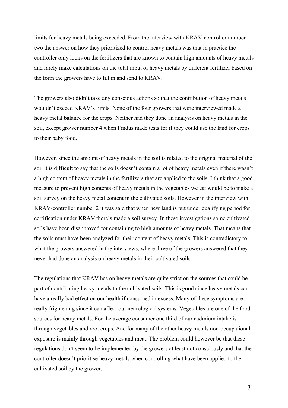limits for heavy metals being exceeded. From the interview with KRAV-controller number two the answer on how they prioritized to control heavy metals was that in practice the controller only looks on the fertilizers that are known to contain high amounts of heavy metals and rarely make calculations on the total input of heavy metals by different fertilizer based on the form the growers have to fill in and send to KRAV.

The growers also didn't take any conscious actions so that the contribution of heavy metals wouldn't exceed KRAV's limits. None of the four growers that were interviewed made a heavy metal balance for the crops. Neither had they done an analysis on heavy metals in the soil, except grower number 4 when Findus made tests for if they could use the land for crops to their baby food.

However, since the amount of heavy metals in the soil is related to the original material of the soil it is difficult to say that the soils doesn't contain a lot of heavy metals even if there wasn't a high content of heavy metals in the fertilizers that are applied to the soils. I think that a good measure to prevent high contents of heavy metals in the vegetables we eat would be to make a soil survey on the heavy metal content in the cultivated soils. However in the interview with KRAV-controller number 2 it was said that when new land is put under qualifying period for certification under KRAV there's made a soil survey. In these investigations some cultivated soils have been disapproved for containing to high amounts of heavy metals. That means that the soils must have been analyzed for their content of heavy metals. This is contradictory to what the growers answered in the interviews, where three of the growers answered that they never had done an analysis on heavy metals in their cultivated soils.

The regulations that KRAV has on heavy metals are quite strict on the sources that could be part of contributing heavy metals to the cultivated soils. This is good since heavy metals can have a really bad effect on our health if consumed in excess. Many of these symptoms are really frightening since it can affect our neurological systems. Vegetables are one of the food sources for heavy metals. For the average consumer one third of our cadmium intake is through vegetables and root crops. And for many of the other heavy metals non-occupational exposure is mainly through vegetables and meat. The problem could however be that these regulations don't seem to be implemented by the growers at least not consciously and that the controller doesn't prioritise heavy metals when controlling what have been applied to the cultivated soil by the grower.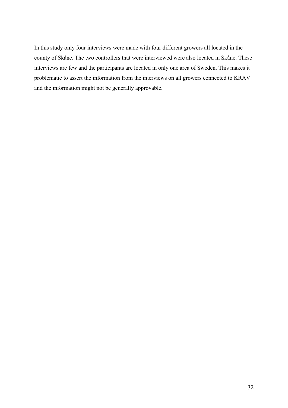In this study only four interviews were made with four different growers all located in the county of Skåne. The two controllers that were interviewed were also located in Skåne. These interviews are few and the participants are located in only one area of Sweden. This makes it problematic to assert the information from the interviews on all growers connected to KRAV and the information might not be generally approvable.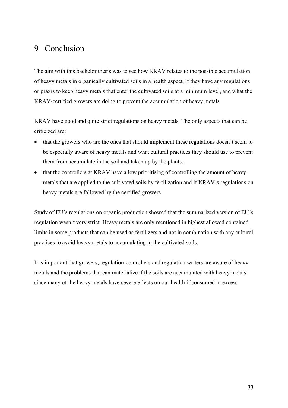## <span id="page-34-0"></span>9 Conclusion

The aim with this bachelor thesis was to see how KRAV relates to the possible accumulation of heavy metals in organically cultivated soils in a health aspect, if they have any regulations or praxis to keep heavy metals that enter the cultivated soils at a minimum level, and what the KRAV-certified growers are doing to prevent the accumulation of heavy metals.

KRAV have good and quite strict regulations on heavy metals. The only aspects that can be criticized are:

- that the growers who are the ones that should implement these regulations doesn't seem to be especially aware of heavy metals and what cultural practices they should use to prevent them from accumulate in the soil and taken up by the plants.
- that the controllers at KRAV have a low prioritising of controlling the amount of heavy metals that are applied to the cultivated soils by fertilization and if KRAV´s regulations on heavy metals are followed by the certified growers.

Study of EU's regulations on organic production showed that the summarized version of EU´s regulation wasn't very strict. Heavy metals are only mentioned in highest allowed contained limits in some products that can be used as fertilizers and not in combination with any cultural practices to avoid heavy metals to accumulating in the cultivated soils.

It is important that growers, regulation-controllers and regulation writers are aware of heavy metals and the problems that can materialize if the soils are accumulated with heavy metals since many of the heavy metals have severe effects on our health if consumed in excess.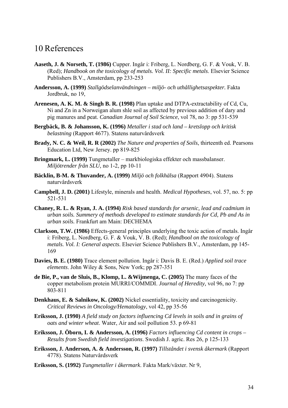## <span id="page-35-0"></span>10 References

- **Aaseth, J. & Norseth, T. (1986)** Cupper. Ingår i: Friberg, L. Nordberg, G. F. & Vouk, V. B. (Red); *Handbook on the toxicology of metals. Vol. II: Specific metals*. Elsevier Science Publishers B.V., Amsterdam, pp 233-253
- **Andersson, A. (1999)** *Stallgödselanvändningen miljö- och uthållighetsaspekter.* Fakta Jordbruk, no 19,
- **Arenesen, A. K. M. & Singh B. R. (1998)** Plan uptake and DTPA-extractability of Cd, Cu, Ni and Zn in a Norweigan alum shle soil as affected by previous addition of dary and pig manures and peat. *Canadian Journal of Soil Science*, vol 78, no 3: pp 531-539
- **Bergbäck, B. & Johansson, K. (1996)** *Metaller i stad och land kretslopp och kritisk belastning* (Rapport 4677). Statens naturvårdsverk
- **Brady, N. C. & Weil, R. R (2002)** *The Nature and properties of Soils*, thirteenth ed. Pearsons Education Ltd, New Jersey. pp 819-825
- **Bringmark, L. (1999)** Tungmetaller markbiologiska effekter och massbalanser. *Miljötrender från SLU,* no 1-2, pp 10-11
- **Bäcklin, B-M. & Thuvander, A. (1999)** *Miljö och folkhälsa* (Rapport 4904). Statens naturvårdsverk
- **Campbell, J. D. (2001)** Lifestyle, minerals and health. *Medical Hypotheses*, vol. 57, no. 5: pp 521-531
- **Chaney, R. L. & Ryan, J. A. (1994)** *Risk based standards for arsenic, lead and cadmium in urban soils. Summery of methods developed to estimate standards for Cd, Pb and As in urban soils.* Frankfurt am Main: DECHEMA
- **Clarkson, T.W. (1986)** Effects-general principles underlying the toxic action of metals. Ingår i: Friberg, L. Nordberg, G. F. & Vouk, V. B. (Red); *Handbool on the toxicology of metals. Vol. I: General aspects*. Elsevier Science Publishers B.V., Amsterdam, pp 145- 169
- **Davies, B. E. (1980)** Trace element pollution. Ingår i: Davis B. E. (Red.) *Applied soil trace elements*. John Wiley & Sons, New York; pp 287-351
- **de Bie, P., van de Sluis, B., Klomp, L. &Wijmenga, C. (2005)** The many faces of the copper metabolism protein MURRI/COMMDI. *Journal of Heredity,* vol 96, no 7: pp 803-811
- **Denkhaus, E. & Salnikow, K. (2002)** Nickel essentiality, toxicity and carcinogenicity. *Critical Reviews in Oncology/Hematology*, vol 42, pp 35-56
- **Eriksson, J. (1990)** *A field study on factors influencing Cd levels in soils and in grains of oats and winter wheat*. Water, Air and soil pollution 53. p 69-81
- **Eriksson, J. Öborn, I. & Andersson, A. (1996)** *Factors influencing Cd content in crops Results from Swedish field investigations*. Swedish J. agric. Res 26, p 125-133
- **Eriksson, J. Anderson, A. & Andersson, R. (1997)** *Tillståndet i svensk åkermark* (Rapport 4778). Statens Naturvårdsverk
- **Eriksson, S. (1992)** *Tungmetaller i åkermark*. Fakta Mark/växter. Nr 9,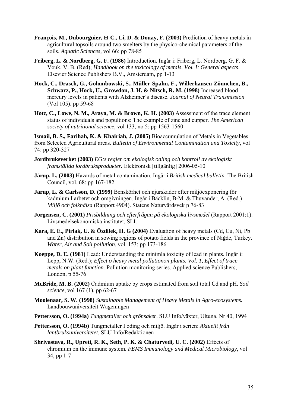- **François, M., Dubourguier, H-C., Li, D. & Douay, F. (2003)** Prediction of heavy metals in agricultural topsoils around two smelters by the physico-chemical parameters of the soils. *Aquatic Sciences,* vol 66: pp 78-85
- **Friberg, L. & Nordberg, G. F. (1986)** Introduction. Ingår i: Friberg, L. Nordberg, G. F. & Vouk, V. B. (Red); *Handbook on the toxicology of metals. Vol. I: General aspects*. Elsevier Science Publishers B.V., Amsterdam, pp 1-13
- **Hock, C., Drasch, G., Golombowski, S., Müller-Spahn, F., Willerhausen-Zönnchen, B., Schwarz, P., Hock, U., Growdon, J. H. & Nitsch, R. M. (1998)** Increased blood mercury levels in patients with Alzheimer's disease. *Journal of Neural Transmission* (Vol 105). pp 59-68
- **Hotz, C., Lowe, N. M., Araya, M. & Brown, K. H. (2003)** Assessment of the trace element status of individuals and popultions: The example of zinc and cupper. *The American society of nutritional science*, vol 133, no 5: pp 1563-1560

**Ismail, B. S., Farihah, K. & Khairiah, J. (2005)** Bioaccumulation of Metals in Vegetables from Selected Agricultural areas. *Bulletin of Environmental Contamination and Toxicity*, vol 74: pp 320-327

- **Jordbruksverket (2003)** *EG:s regler om ekologisk odling och kontroll av ekologiskt framställda jordbruksprodukter.* Elektronisk [tillgänlig] 2006-05-10
- **Järup, L. (2003)** Hazards of metal contamination. Ingår i *British medical bulletin*. The British Council, vol. 68: pp 167-182
- **Järup, L. & Carlsson, D. (1999)** Benskörhet och njurskador efter miljöexponering för kadmium I arbetet och omgivningen. Ingår i Bäcklin, B-M. & Thuvander, A. (Red.) *Miljö och folkhälsa* (Rapport 4904). Statens Naturvårdsvek p 76-83
- **Jörgensen, C. (2001)** *Prisbildning och efterfrågan på ekologiska livsmedel* (Rapport 2001:1). Livsmedelsekonomiska institutet, SLI.
- **Kara, E. E., Pirlak, U. & Özdilek, H. G (2004)** Evaluation of heavy metals (Cd, Cu, Ni, Pb and Zn) distribution in sowing regions of potato fields in the province of Niğde, Turkey. *Water, Air and Soil pollution*, vol. 153: pp 173-186
- **Koeppe, D. E. (1981)** Lead: Understanding the minimla toxicity of lead in plants. Ingår i: Lepp, N.W. (Red.); *Effect o heavy metal pollutionon plants, Vol. 1, Effect of trace metals on plant function.* Pollution monitoring series. Applied science Publishers, London, p 55-76
- **McBride, M. B. (2002)** Cadmium uptake by crops estimated from soil total Cd and pH. *Soil science*, vol 167 (1), pp 62-67
- **Moolenaar, S. W. (1998)** *Sustainable Management of Heavy Metals in Agro-ecosystems.*  Landbouwuniversiteit Wageningen
- **Pettersson, O. (1994a)** *Tungmetaller och grönsaker*. SLU Info/växter, Ultuna. Nr 40, 1994
- **Pettersson, O. (1994b)** Tungmetaller I oding och miljö. Ingår i serien: *Aktuellt från lantbruksuniversitetet*, SLU Info/Redaktionen
- **Shrivastava, R., Upreti, R. K., Seth, P. K. & Chaturvedi, U. C. (2002)** Effects of chromium on the immune system. *FEMS Immunology and Medical Microbiology*, vol 34, pp 1-7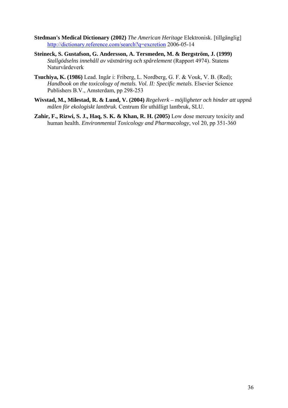- **Stedman's Medical Dictionary (2002)** *The American Heritage* Elektronisk. [tillgänglig] <http://dictionary.reference.com/search?q=excretion> 2006-05-14
- **Steineck, S. Gustafson, G. Andersson, A. Tersmeden, M. & Bergström, J. (1999)**  *Stallgödselns innehåll av växtnäring och spårelement* (Rapport 4974). Statens Naturvårdeverk
- **Tsuchiya, K. (1986)** Lead. Ingår i: Friberg, L. Nordberg, G. F. & Vouk, V. B. (Red); *Handbook on the toxicology of metals. Vol. II: Specific metals*. Elsevier Science Publishers B.V., Amsterdam, pp 298-253
- **Wivstad, M., Milestad, R. & Lund, V. (2004)** *Regelverk möjligheter och hinder att uppnå målen för ekologiskt lantbruk.* Centrum för uthålligt lantbruk, SLU.
- **Zahir, F., Rizwi, S. J., Haq, S. K. & Khan, R. H. (2005)** Low dose mercury toxicity and human health. *Environmental Toxicology and Pharmacology*, vol 20, pp 351-360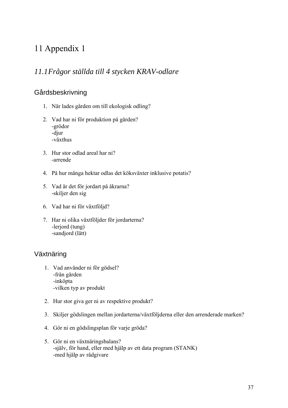## <span id="page-38-0"></span>11 Appendix 1

## *11.1Frågor ställda till 4 stycken KRAV-odlare*

## Gårdsbeskrivning

- 1. När lades gården om till ekologisk odling?
- 2. Vad har ni för produktion på gården? -grödor -djur -växthus
- 3. Hur stor odlad areal har ni? -arrende
- 4. På hur många hektar odlas det köksväxter inklusive potatis?
- 5. Vad är det för jordart på åkrarna? -skiljer den sig
- 6. Vad har ni för växtföljd?
- 7. Har ni olika växtföljder för jordarterna? -lerjord (tung) -sandjord (lätt)

## Växtnäring

- 1. Vad använder ni för gödsel? -från gården -inköpta -vilken typ av produkt
- 2. Hur stor giva ger ni av respektive produkt?
- 3. Skiljer gödslingen mellan jordarterna/växtföljderna eller den arrenderade marken?
- 4. Gör ni en gödslingsplan för varje gröda?
- 5. Gör ni en växtnäringsbalans? -själv, för hand, eller med hjälp av ett data program (STANK) -med hjälp av rådgivare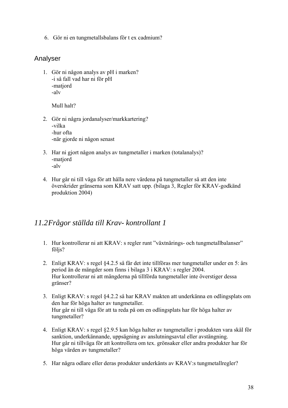<span id="page-39-0"></span>6. Gör ni en tungmetallsbalans för t ex cadmium?

### Analyser

1. Gör ni någon analys av pH i marken? -i så fall vad har ni för pH -matjord -alv

Mull halt?

- 2. Gör ni några jordanalyser/markkartering? -vilka -hur ofta -när gjorde ni någon senast
- 3. Har ni gjort någon analys av tungmetaller i marken (totalanalys)? -matjord -alv
- 4. Hur går ni till väga för att hålla nere värdena på tungmetaller så att den inte överskrider gränserna som KRAV satt upp. (bilaga 3, Regler för KRAV-godkänd produktion 2004)

### *11.2Frågor ställda till Krav- kontrollant 1*

- 1. Hur kontrollerar ni att KRAV: s regler runt "växtnärings- och tungmetallbalanser" följs?
- 2. Enligt KRAV: s regel §4.2.5 så får det inte tillföras mer tungmetaller under en 5: års period än de mängder som finns i bilaga 3 i KRAV: s regler 2004. Hur kontrollerar ni att mängderna på tillförda tungmetaller inte överstiger dessa gränser?
- 3. Enligt KRAV: s regel §4.2.2 så har KRAV makten att underkänna en odlingsplats om den har för höga halter av tungmetaller. Hur går ni till väga för att ta reda på om en odlingsplats har för höga halter av tungmetaller?
- 4. Enligt KRAV: s regel §2.9.5 kan höga halter av tungmetaller i produkten vara skäl för sanktion, underkännande, uppsägning av anslutningsavtal eller avstängning. Hur går ni tillväga för att kontrollera om tex. grönsaker eller andra produkter har för höga värden av tungmetaller?
- 5. Har några odlare eller deras produkter underkänts av KRAV:s tungmetallregler?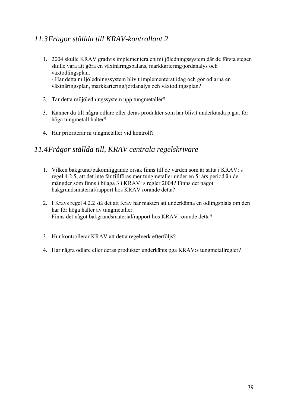## <span id="page-40-0"></span>*11.3Frågor ställda till KRAV-kontrollant 2*

- 1. 2004 skulle KRAV gradvis implementera ett miljöledningssystem där de första stegen skulle vara att göra en växtnäringsbalans, markkartering/jordanalys och växtodlingsplan. - Har detta miljöledningssystem blivit implementerat idag och gör odlarna en växtnäringsplan, markkartering/jordanalys och växtodlingsplan?
- 2. Tar detta miljöledningssystem upp tungmetaller?
- 3. Känner du till några odlare eller deras produkter som har blivit underkända p.g.a. för höga tungmetall halter?
- 4. Hur prioriterar ni tungmetaller vid kontroll?

### *11.4Frågor ställda till, KRAV centrala regelskrivare*

- 1. Vilken bakgrund/bakomliggande orsak finns till de värden som är satta i KRAV: s regel 4.2.5, att det inte får tillföras mer tungmetaller under en 5: års period än de mängder som finns i bilaga 3 i KRAV: s regler 2004? Finns det något bakgrundsmaterial/rapport hos KRAV rörande detta?
- 2. I Kravs regel 4.2.2 stå det att Krav har makten att underkänna en odlingsplats om den har för höga halter av tungmetaller. Finns det något bakgrundsmaterial/rapport hos KRAV rörande detta?
- 3. Hur kontrollerar KRAV att detta regelverk efterföljs?
- 4. Har några odlare eller deras produkter underkänts pga KRAV:s tungmetallregler?